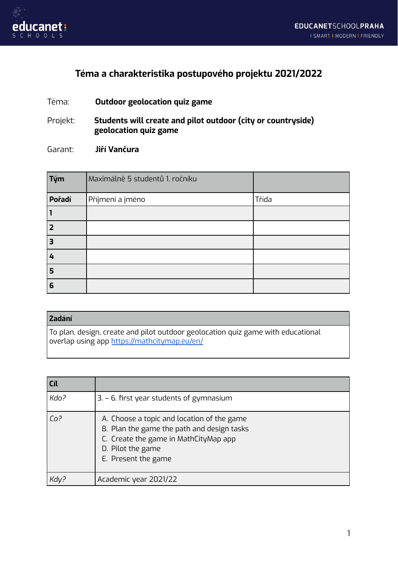

## **Téma a charakteristika postupového projektu 2021/2022**

Téma: **Outdoor geolocation quiz game**

Projekt: **Students will create and pilot outdoor (city or countryside) geolocation quiz game**

Garant: **Jiří Vančura**

| Tým                     | Maximálně 5 studentů 1. ročníku |       |
|-------------------------|---------------------------------|-------|
| Pořadí                  | Příjmení a jméno                | Třída |
|                         |                                 |       |
| $\overline{2}$          |                                 |       |
| $\overline{\mathbf{3}}$ |                                 |       |
| 4                       |                                 |       |
| 5                       |                                 |       |
| 6                       |                                 |       |

## **Zadání**

To plan, design, create and pilot outdoor geolocation quiz game with educational overlap using app <https://mathcitymap.eu/en/>

| Cíl             |                                                                                                                                                                               |
|-----------------|-------------------------------------------------------------------------------------------------------------------------------------------------------------------------------|
| Kdo?            | $3. - 6$ . first year students of gymnasium                                                                                                                                   |
| Co <sup>2</sup> | A. Choose a topic and location of the game<br>B. Plan the game the path and design tasks<br>C. Create the game in MathCityMap app<br>D. Pilot the game<br>E. Present the game |
|                 | Academic year 2021/22                                                                                                                                                         |